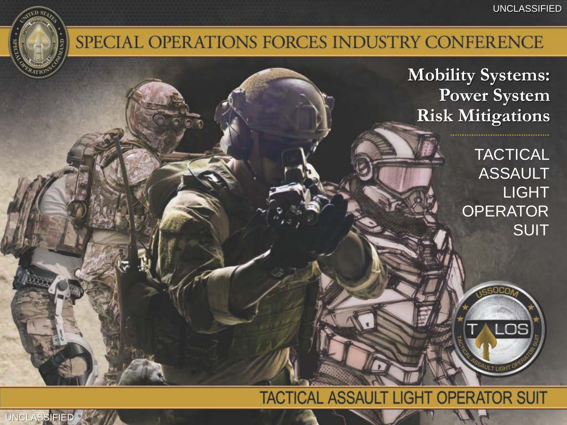## SPECIAL OPERATIONS FORCES INDUSTRY CONFERENCE

**Mobility Systems: Power System Risk Mitigations**

> **TACTICAL ASSAULT** LIGHT **OPERATOR** SUIT

> > .OS

### **TACTICAL ASSAULT LIGHT OPERATOR SUIT**

**UNCLASSIFIED**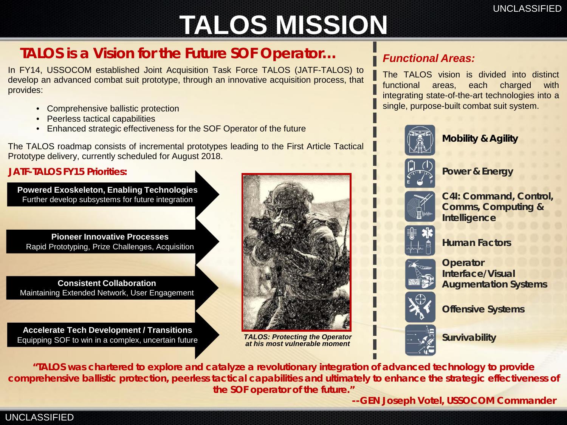# **TALOS MISSION**

### *TALOS is a Vision for the Future SOF Operator…*

In FY14, USSOCOM established Joint Acquisition Task Force TALOS (JATF-TALOS) to develop an advanced combat suit prototype, through an innovative acquisition process, that provides:

- Comprehensive ballistic protection
- Peerless tactical capabilities
- Enhanced strategic effectiveness for the SOF Operator of the future

The TALOS roadmap consists of incremental prototypes leading to the First Article Tactical Prototype delivery, currently scheduled for August 2018.

#### *JATF-TALOS FY15 Priorities:*

**Powered Exoskeleton, Enabling Technologies**  Further develop subsystems for future integration

**Pioneer Innovative Processes** Rapid Prototyping, Prize Challenges, Acquisition

**Consistent Collaboration** Maintaining Extended Network, User Engagement

**Accelerate Tech Development / Transitions** Equipping SOF to win in a complex, uncertain future *TALOS: Protecting the Operator* 



*at his most vulnerable moment*

#### *Functional Areas:*

The TALOS vision is divided into distinct functional areas, each charged with integrating state-of-the-art technologies into a single, purpose-built combat suit system.



• **Mobility & Agility**



• **Power & Energy**



• **C4I: Command, Control, Comms, Computing & Intelligence**



• **Human Factors**



• **Operator Interface/Visual Augmentation Systems**



• **Offensive Systems**



• **Survivability**

*"TALOS was chartered to explore and catalyze a revolutionary integration of advanced technology to provide comprehensive ballistic protection, peerless tactical capabilities and ultimately to enhance the strategic effectiveness of the SOF operator of the future."* 

*--GEN Joseph Votel, USSOCOM Commander*

#### UNCLASSIFIED